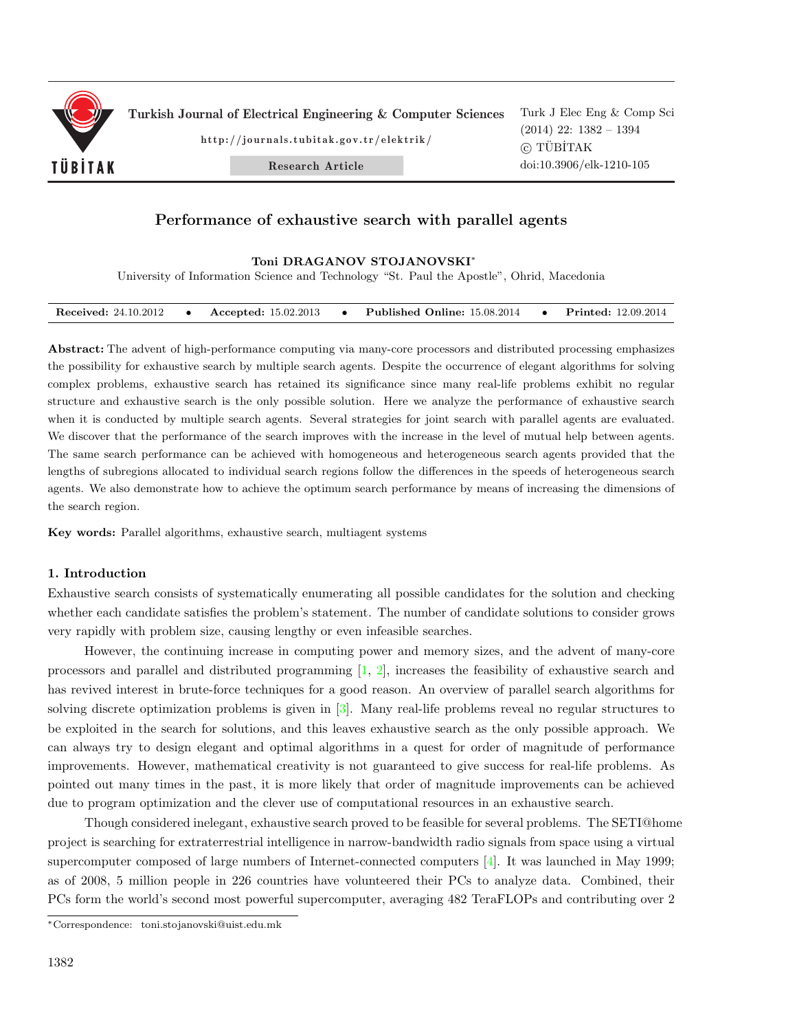

http://journals.tubitak.gov.tr/elektrik/

Turk J Elec Eng & Comp Sci (2014) 22: 1382 – 1394 *⃝*<sup>c</sup> TUB¨ ˙ITAK doi:10.3906/elk-1210-105

Research Article

# **Performance of exhaustive search with parallel agents**

# **Toni DRAGANOV STOJANOVSKI***<sup>∗</sup>*

University of Information Science and Technology "St. Paul the Apostle", Ohrid, Macedonia

| <b>Received:</b> 24.10.2012 $\bullet$<br><b>Accepted:</b> 15.02.2013 |  | <b>Published Online:</b> 15.08.2014 |  | • Printed: $12.09.2014$ |
|----------------------------------------------------------------------|--|-------------------------------------|--|-------------------------|
|----------------------------------------------------------------------|--|-------------------------------------|--|-------------------------|

**Abstract:** The advent of high-performance computing via many-core processors and distributed processing emphasizes the possibility for exhaustive search by multiple search agents. Despite the occurrence of elegant algorithms for solving complex problems, exhaustive search has retained its significance since many real-life problems exhibit no regular structure and exhaustive search is the only possible solution. Here we analyze the performance of exhaustive search when it is conducted by multiple search agents. Several strategies for joint search with parallel agents are evaluated. We discover that the performance of the search improves with the increase in the level of mutual help between agents. The same search performance can be achieved with homogeneous and heterogeneous search agents provided that the lengths of subregions allocated to individual search regions follow the differences in the speeds of heterogeneous search agents. We also demonstrate how to achieve the optimum search performance by means of increasing the dimensions of the search region.

**Key words:** Parallel algorithms, exhaustive search, multiagent systems

# **1. Introduction**

Exhaustive search consists of systematically enumerating all possible candidates for the solution and checking whether each candidate satisfies the problem's statement. The number of candidate solutions to consider grows very rapidly with problem size, causing lengthy or even infeasible searches.

However, the continuing increase in computing power and memory sizes, and the advent of many-core processors and parallel and distributed programming  $\left[1, 2\right]$  $\left[1, 2\right]$  $\left[1, 2\right]$  $\left[1, 2\right]$  $\left[1, 2\right]$ , increases the feasibility of exhaustive search and has revived interest in brute-force techniques for a good reason. An overview of parallel search algorithms for solving discrete optimization problems is given in [[3\]](#page-11-2). Many real-life problems reveal no regular structures to be exploited in the search for solutions, and this leaves exhaustive search as the only possible approach. We can always try to design elegant and optimal algorithms in a quest for order of magnitude of performance improvements. However, mathematical creativity is not guaranteed to give success for real-life problems. As pointed out many times in the past, it is more likely that order of magnitude improvements can be achieved due to program optimization and the clever use of computational resources in an exhaustive search.

Though considered inelegant, exhaustive search proved to be feasible for several problems. The SETI@home project is searching for extraterrestrial intelligence in narrow-bandwidth radio signals from space using a virtual supercomputer composed of large numbers of Internet-connected computers [[4](#page-11-3)]. It was launched in May 1999; as of 2008, 5 million people in 226 countries have volunteered their PCs to analyze data. Combined, their PCs form the world's second most powerful supercomputer, averaging 482 TeraFLOPs and contributing over 2

*<sup>∗</sup>*Correspondence: toni.stojanovski@uist.edu.mk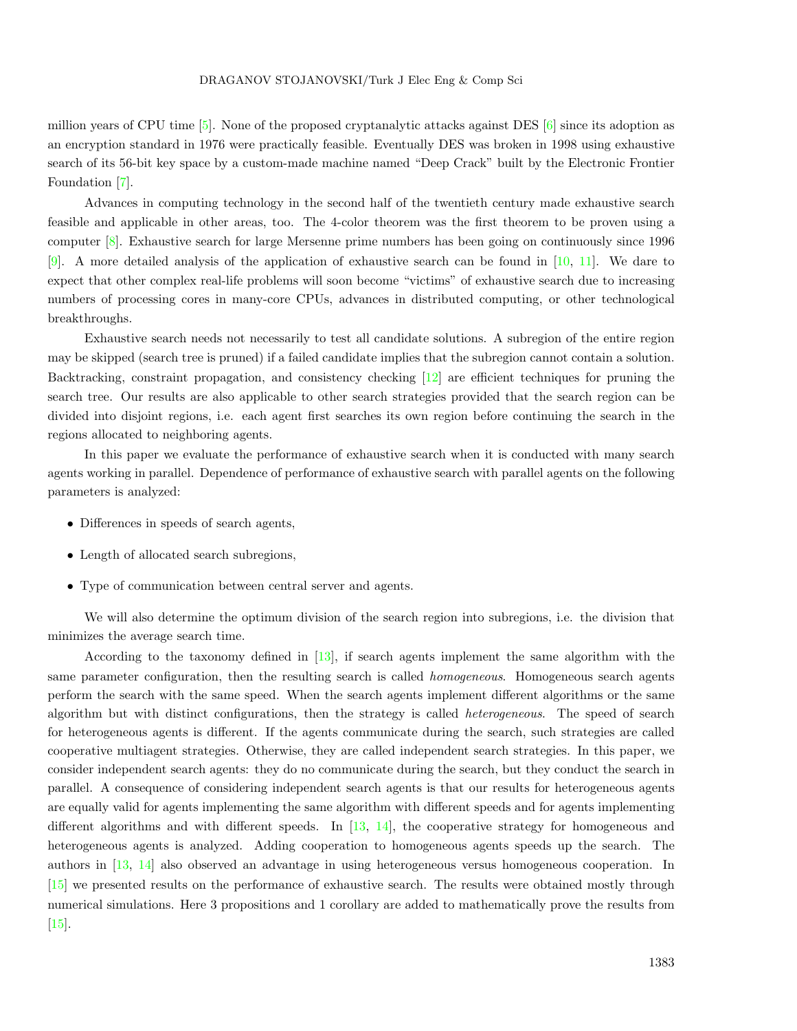million years of CPU time  $[5]$  $[5]$ . None of the proposed cryptanalytic attacks against DES  $[6]$  $[6]$  since its adoption as an encryption standard in 1976 were practically feasible. Eventually DES was broken in 1998 using exhaustive search of its 56-bit key space by a custom-made machine named "Deep Crack" built by the Electronic Frontier Foundation [[7](#page-11-6)].

Advances in computing technology in the second half of the twentieth century made exhaustive search feasible and applicable in other areas, too. The 4-color theorem was the first theorem to be proven using a computer [[8\]](#page-12-0). Exhaustive search for large Mersenne prime numbers has been going on continuously since 1996 [\[9](#page-12-1)]. A more detailed analysis of the application of exhaustive search can be found in [[10,](#page-12-2) [11](#page-12-3)]. We dare to expect that other complex real-life problems will soon become "victims" of exhaustive search due to increasing numbers of processing cores in many-core CPUs, advances in distributed computing, or other technological breakthroughs.

Exhaustive search needs not necessarily to test all candidate solutions. A subregion of the entire region may be skipped (search tree is pruned) if a failed candidate implies that the subregion cannot contain a solution. Backtracking, constraint propagation, and consistency checking [[12\]](#page-12-4) are efficient techniques for pruning the search tree. Our results are also applicable to other search strategies provided that the search region can be divided into disjoint regions, i.e. each agent first searches its own region before continuing the search in the regions allocated to neighboring agents.

In this paper we evaluate the performance of exhaustive search when it is conducted with many search agents working in parallel. Dependence of performance of exhaustive search with parallel agents on the following parameters is analyzed:

- Differences in speeds of search agents,
- Length of allocated search subregions,
- *•* Type of communication between central server and agents.

We will also determine the optimum division of the search region into subregions, i.e. the division that minimizes the average search time.

According to the taxonomy defined in [\[13](#page-12-5)], if search agents implement the same algorithm with the same parameter configuration, then the resulting search is called *homogeneous*. Homogeneous search agents perform the search with the same speed. When the search agents implement different algorithms or the same algorithm but with distinct configurations, then the strategy is called *heterogeneous*. The speed of search for heterogeneous agents is different. If the agents communicate during the search, such strategies are called cooperative multiagent strategies. Otherwise, they are called independent search strategies. In this paper, we consider independent search agents: they do no communicate during the search, but they conduct the search in parallel. A consequence of considering independent search agents is that our results for heterogeneous agents are equally valid for agents implementing the same algorithm with different speeds and for agents implementing different algorithms and with different speeds. In  $[13, 14]$  $[13, 14]$  $[13, 14]$  $[13, 14]$ , the cooperative strategy for homogeneous and heterogeneous agents is analyzed. Adding cooperation to homogeneous agents speeds up the search. The authors in [\[13](#page-12-5), [14](#page-12-6)] also observed an advantage in using heterogeneous versus homogeneous cooperation. In [\[15](#page-12-7)] we presented results on the performance of exhaustive search. The results were obtained mostly through numerical simulations. Here 3 propositions and 1 corollary are added to mathematically prove the results from [\[15](#page-12-7)].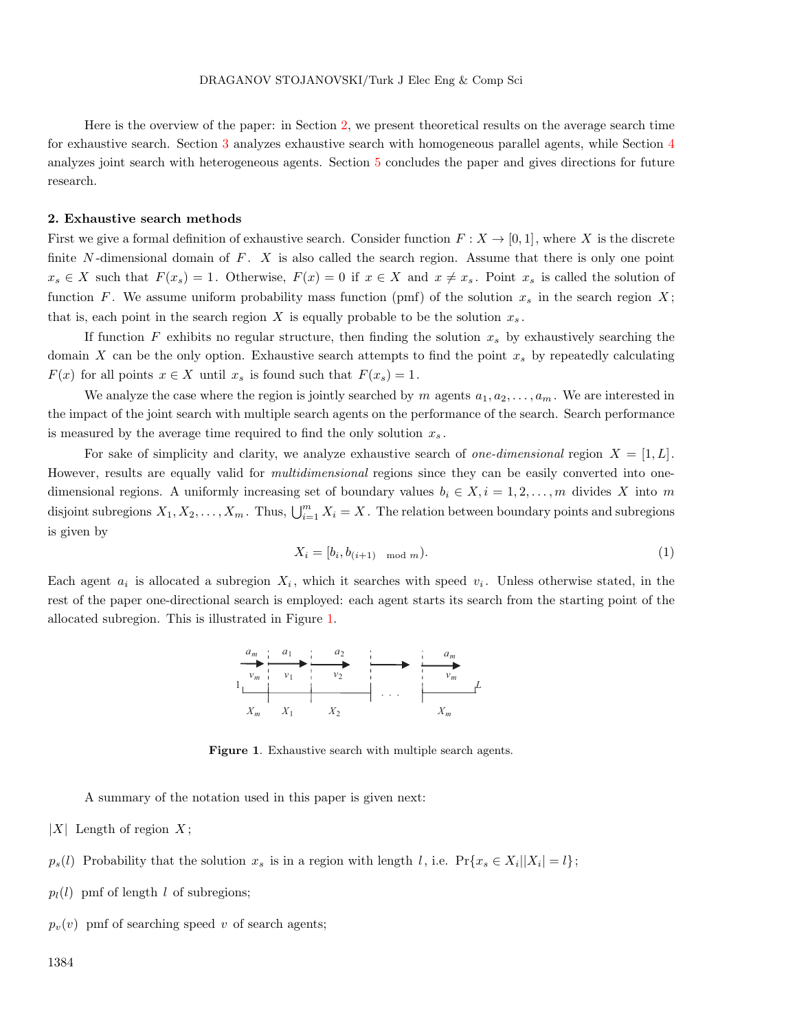Here is the overview of the paper: in Section [2](#page-2-0), we present theoretical results on the average search time for exhaustive search. Section [3](#page-4-0) analyzes exhaustive search with homogeneous parallel agents, while Section [4](#page-7-0) analyzes joint search with heterogeneous agents. Section [5](#page-11-7) concludes the paper and gives directions for future research.

## <span id="page-2-0"></span>**2. Exhaustive search methods**

First we give a formal definition of exhaustive search. Consider function  $F: X \to [0,1]$ , where X is the discrete finite *N* -dimensional domain of *F* . *X* is also called the search region. Assume that there is only one point  $x_s \in X$  such that  $F(x_s) = 1$ . Otherwise,  $F(x) = 0$  if  $x \in X$  and  $x \neq x_s$ . Point  $x_s$  is called the solution of function F. We assume uniform probability mass function (pmf) of the solution  $x_s$  in the search region X; that is, each point in the search region  $X$  is equally probable to be the solution  $x_s$ .

If function  $F$  exhibits no regular structure, then finding the solution  $x<sub>s</sub>$  by exhaustively searching the domain *X* can be the only option. Exhaustive search attempts to find the point *x<sup>s</sup>* by repeatedly calculating *F*(*x*) for all points  $x \in X$  until  $x_s$  is found such that  $F(x_s) = 1$ .

We analyze the case where the region is jointly searched by  $m$  agents  $a_1, a_2, \ldots, a_m$ . We are interested in the impact of the joint search with multiple search agents on the performance of the search. Search performance is measured by the average time required to find the only solution *x<sup>s</sup>* .

For sake of simplicity and clarity, we analyze exhaustive search of *one-dimensional* region *X* = [1*, L*]. However, results are equally valid for *multidimensional* regions since they can be easily converted into onedimensional regions. A uniformly increasing set of boundary values  $b_i \in X, i = 1, 2, \ldots, m$  divides X into m disjoint subregions  $X_1, X_2, \ldots, X_m$ . Thus,  $\bigcup_{i=1}^m X_i = X$ . The relation between boundary points and subregions is given by

$$
X_i = [b_i, b_{(i+1) \mod m}). \tag{1}
$$

Each agent  $a_i$  is allocated a subregion  $X_i$ , which it searches with speed  $v_i$ . Unless otherwise stated, in the rest of the paper one-directional search is employed: each agent starts its search from the starting point of the allocated subregion. This is illustrated in Figure [1](#page-2-1).



<span id="page-2-1"></span>**Figure 1**. Exhaustive search with multiple search agents.

A summary of the notation used in this paper is given next:

- $|X|$  Length of region X;
- *p*<sub>s</sub>(*l*) Probability that the solution *x*<sub>*s*</sub> is in a region with length *l*, i.e.  $Pr\{x_s \in X_i | |X_i| = l\}$ ;
- $p_l(l)$  pmf of length *l* of subregions;
- $p_v(v)$  pmf of searching speed *v* of search agents;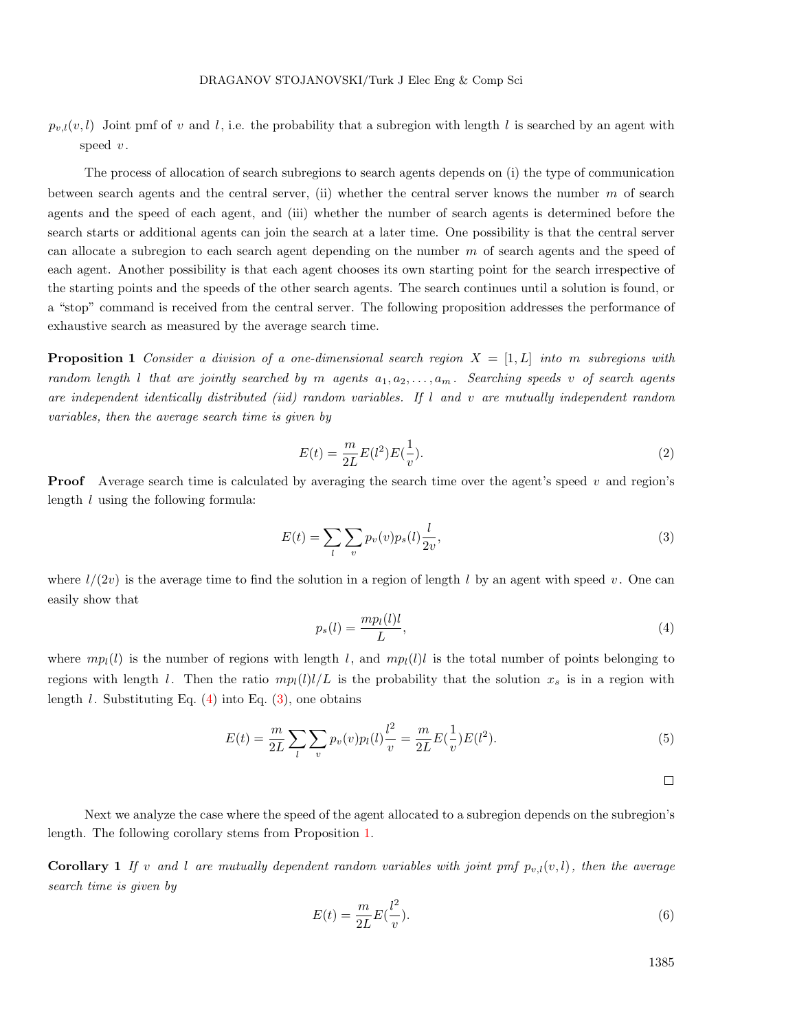$p_{v,l}(v,l)$  Joint pmf of *v* and *l*, i.e. the probability that a subregion with length *l* is searched by an agent with speed *v* .

The process of allocation of search subregions to search agents depends on (i) the type of communication between search agents and the central server, (ii) whether the central server knows the number *m* of search agents and the speed of each agent, and (iii) whether the number of search agents is determined before the search starts or additional agents can join the search at a later time. One possibility is that the central server can allocate a subregion to each search agent depending on the number *m* of search agents and the speed of each agent. Another possibility is that each agent chooses its own starting point for the search irrespective of the starting points and the speeds of the other search agents. The search continues until a solution is found, or a "stop" command is received from the central server. The following proposition addresses the performance of exhaustive search as measured by the average search time.

<span id="page-3-2"></span>**Proposition 1** *Consider a division of a one-dimensional search region X* = [1*, L*] *into m subregions with random length l that are jointly searched by m agents*  $a_1, a_2, \ldots, a_m$ . *Searching speeds v of search agents are independent identically distributed (iid) random variables. If l and v are mutually independent random variables, then the average search time is given by*

<span id="page-3-3"></span>
$$
E(t) = \frac{m}{2L}E(l^2)E(\frac{1}{v}).
$$
\n(2)

**Proof** Average search time is calculated by averaging the search time over the agent's speed *v* and region's length *l* using the following formula:

<span id="page-3-1"></span>
$$
E(t) = \sum_{l} \sum_{v} p_v(v) p_s(l) \frac{l}{2v},\tag{3}
$$

<span id="page-3-0"></span>where  $l/(2v)$  is the average time to find the solution in a region of length *l* by an agent with speed *v*. One can easily show that

<span id="page-3-4"></span>
$$
p_s(l) = \frac{mp_l(l)l}{L},\tag{4}
$$

where  $mp_l(l)$  is the number of regions with length *l*, and  $mp_l(l)l$  is the total number of points belonging to regions with length *l*. Then the ratio  $mp_l(l)l/L$  is the probability that the solution  $x_s$  is in a region with length  $l$ . Substituting Eq.  $(4)$  $(4)$  into Eq.  $(3)$  $(3)$ , one obtains

$$
E(t) = \frac{m}{2L} \sum_{l} \sum_{v} p_v(v) p_l(l) \frac{l^2}{v} = \frac{m}{2L} E(\frac{1}{v}) E(l^2).
$$
 (5)

Next we analyze the case where the speed of the agent allocated to a subregion depends on the subregion's length. The following corollary stems from Proposition [1.](#page-3-2)

<span id="page-3-5"></span>**Corollary 1** If *v* and *l* are mutually dependent random variables with joint pmf  $p_{v,l}(v, l)$ , then the average *search time is given by*

$$
E(t) = \frac{m}{2L} E(\frac{l^2}{v}).
$$
\n<sup>(6)</sup>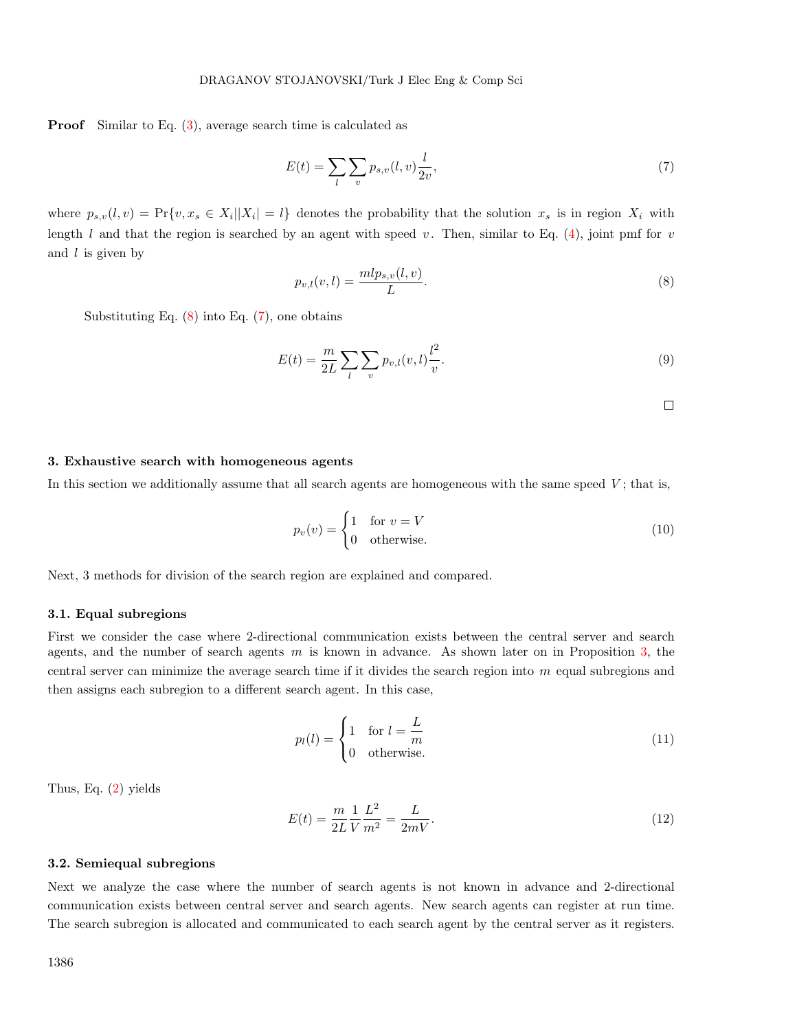**Proof** Similar to Eq. [\(3](#page-3-1)), average search time is calculated as

<span id="page-4-2"></span>
$$
E(t) = \sum_{l} \sum_{v} p_{s,v}(l,v) \frac{l}{2v},\tag{7}
$$

where  $p_{s,v}(l,v) = Pr\{v, x_s \in X_i | |X_i| = l\}$  denotes the probability that the solution  $x_s$  is in region  $X_i$  with length  $l$  and that the region is searched by an agent with speed  $v$ . Then, similar to Eq. ([4\)](#page-3-0), joint pmf for  $v$ and *l* is given by

$$
p_{v,l}(v,l) = \frac{mlp_{s,v}(l,v)}{L}.
$$
\n(8)

<span id="page-4-1"></span>Substituting Eq.  $(8)$  $(8)$  into Eq.  $(7)$  $(7)$ , one obtains

$$
E(t) = \frac{m}{2L} \sum_{l} \sum_{v} p_{v,l}(v,l) \frac{l^2}{v}.
$$
\n(9)

#### <span id="page-4-0"></span>**3. Exhaustive search with homogeneous agents**

In this section we additionally assume that all search agents are homogeneous with the same speed V; that is,

$$
p_v(v) = \begin{cases} 1 & \text{for } v = V \\ 0 & \text{otherwise.} \end{cases}
$$
 (10)

Next, 3 methods for division of the search region are explained and compared.

## <span id="page-4-5"></span>**3.1. Equal subregions**

First we consider the case where 2-directional communication exists between the central server and search agents, and the number of search agents *m* is known in advance. As shown later on in Proposition [3](#page-7-1), the central server can minimize the average search time if it divides the search region into *m* equal subregions and then assigns each subregion to a different search agent. In this case,

<span id="page-4-3"></span>
$$
p_l(l) = \begin{cases} 1 & \text{for } l = \frac{L}{m} \\ 0 & \text{otherwise.} \end{cases} \tag{11}
$$

<span id="page-4-4"></span>Thus, Eq. ([2\)](#page-3-3) yields

$$
E(t) = \frac{m}{2L} \frac{1}{V} \frac{L^2}{m^2} = \frac{L}{2mV}.
$$
\n(12)

#### **3.2. Semiequal subregions**

Next we analyze the case where the number of search agents is not known in advance and 2-directional communication exists between central server and search agents. New search agents can register at run time. The search subregion is allocated and communicated to each search agent by the central server as it registers.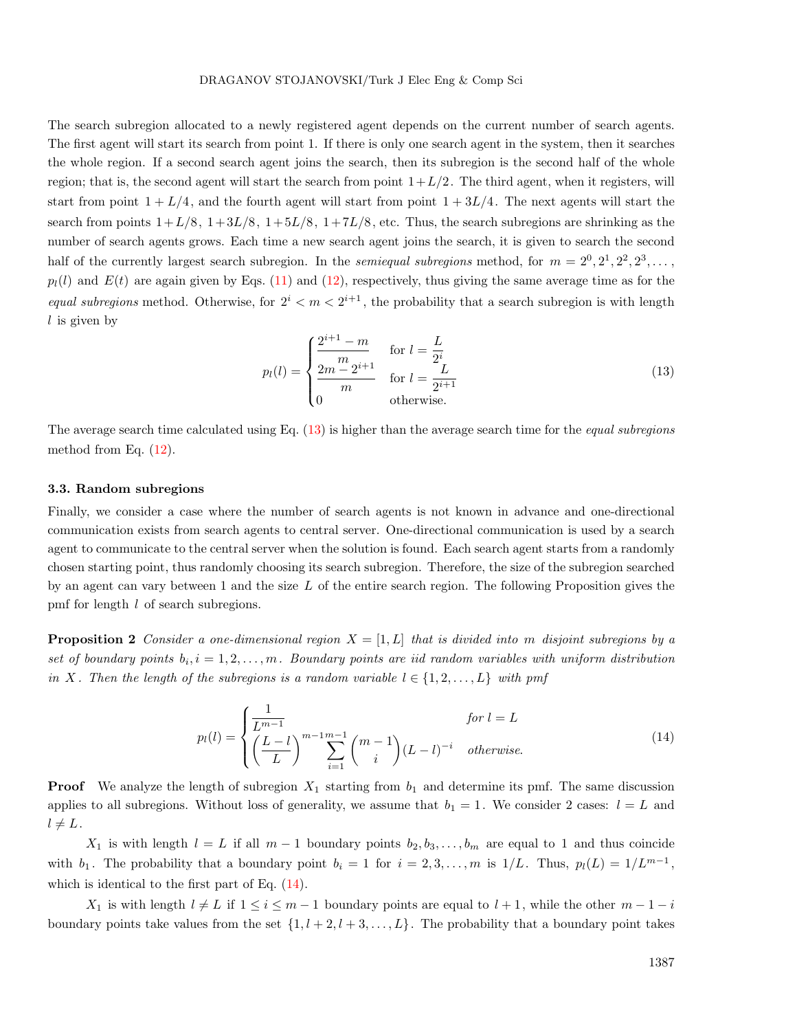The search subregion allocated to a newly registered agent depends on the current number of search agents. The first agent will start its search from point 1. If there is only one search agent in the system, then it searches the whole region. If a second search agent joins the search, then its subregion is the second half of the whole region; that is, the second agent will start the search from point 1+*L/*2. The third agent, when it registers, will start from point  $1 + L/4$ , and the fourth agent will start from point  $1 + 3L/4$ . The next agents will start the search from points  $1 + L/8$ ,  $1 + 3L/8$ ,  $1 + 5L/8$ ,  $1 + 7L/8$ , etc. Thus, the search subregions are shrinking as the number of search agents grows. Each time a new search agent joins the search, it is given to search the second half of the currently largest search subregion. In the *semiequal subregions* method, for  $m = 2^0, 2^1, 2^2, 2^3, \ldots$  $p_l(l)$  and  $E(t)$  are again given by Eqs. ([11](#page-4-3)) and ([12\)](#page-4-4), respectively, thus giving the same average time as for the *equal subregions* method. Otherwise, for  $2^i < m < 2^{i+1}$ , the probability that a search subregion is with length *l* is given by

$$
p_l(l) = \begin{cases} \frac{2^{i+1} - m}{m} & \text{for } l = \frac{L}{2^i} \\ \frac{2m - 2^{i+1}}{m} & \text{for } l = \frac{L}{2^{i+1}} \\ 0 & \text{otherwise.} \end{cases}
$$
(13)

<span id="page-5-0"></span>The average search time calculated using Eq. ([13\)](#page-5-0) is higher than the average search time for the *equal subregions* method from Eq.  $(12)$  $(12)$ .

#### **3.3. Random subregions**

Finally, we consider a case where the number of search agents is not known in advance and one-directional communication exists from search agents to central server. One-directional communication is used by a search agent to communicate to the central server when the solution is found. Each search agent starts from a randomly chosen starting point, thus randomly choosing its search subregion. Therefore, the size of the subregion searched by an agent can vary between 1 and the size *L* of the entire search region. The following Proposition gives the pmf for length *l* of search subregions.

**Proposition 2** *Consider a one-dimensional region X* = [1*, L*] *that is divided into m disjoint subregions by a* set of boundary points  $b_i$ ,  $i = 1, 2, \ldots, m$ . Boundary points are iid random variables with uniform distribution *in X . Then the length of the subregions is a random variable*  $l \in \{1, 2, \ldots, L\}$  *with pmf* 

<span id="page-5-1"></span>
$$
p_l(l) = \begin{cases} \frac{1}{L^{m-1}} & \text{for } l = L\\ \left(\frac{L-l}{L}\right)^{m-1} \sum_{i=1}^{m-1} {m-1 \choose i} (L-l)^{-i} & \text{otherwise.} \end{cases}
$$
(14)

**Proof** We analyze the length of subregion  $X_1$  starting from  $b_1$  and determine its pmf. The same discussion applies to all subregions. Without loss of generality, we assume that  $b_1 = 1$ . We consider 2 cases:  $l = L$  and  $l \neq L$ .

*X*<sup>1</sup> is with length *l* = *L* if all  $m − 1$  boundary points  $b_2, b_3, \ldots, b_m$  are equal to 1 and thus coincide with  $b_1$ . The probability that a boundary point  $b_i = 1$  for  $i = 2, 3, \ldots, m$  is  $1/L$ . Thus,  $p_l(L) = 1/L^{m-1}$ , which is identical to the first part of Eq.  $(14)$  $(14)$  $(14)$ .

*X*<sub>1</sub> is with length  $l \neq L$  if  $1 \leq i \leq m-1$  boundary points are equal to  $l+1$ , while the other  $m-1-i$ boundary points take values from the set  $\{1, l+2, l+3, \ldots, L\}$ . The probability that a boundary point takes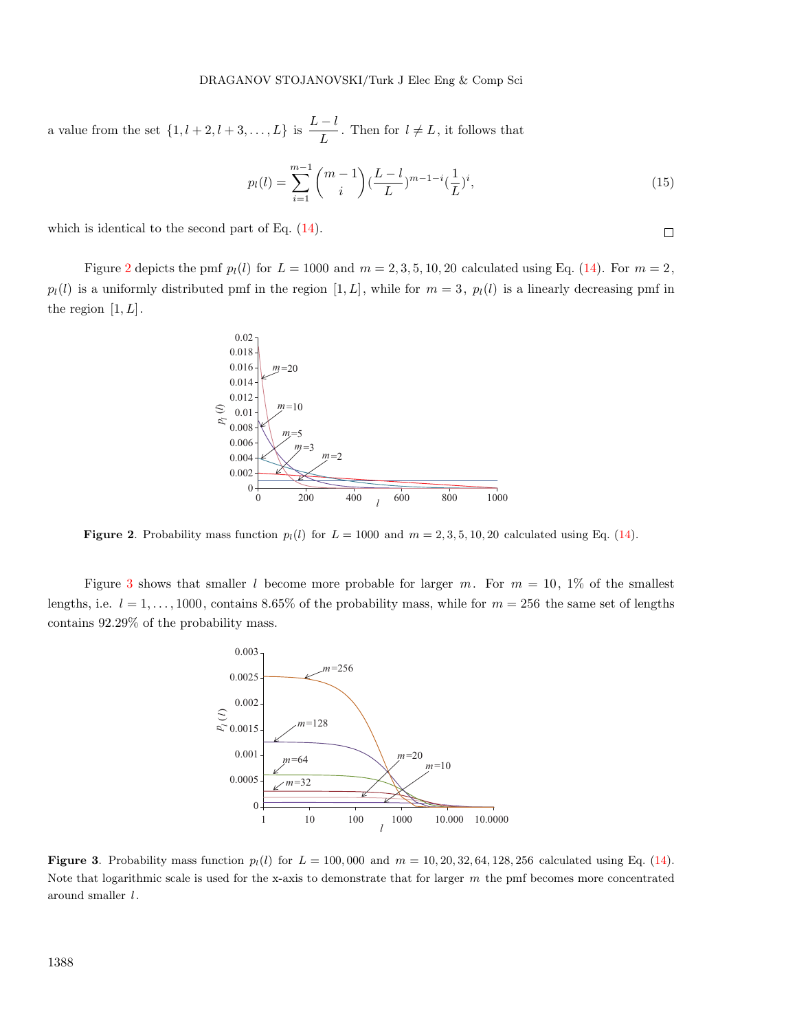a value from the set  $\{1, l+2, l+3, ..., L\}$  is  $\frac{L-l}{L}$  $\frac{\partial}{\partial L}$ . Then for  $l \neq L$ , it follows that

$$
p_l(l) = \sum_{i=1}^{m-1} {m-1 \choose i} \left(\frac{L-l}{L}\right)^{m-1-i} \left(\frac{1}{L}\right)^i,
$$
\n(15)

which is identical to the second part of Eq.  $(14)$  $(14)$ .

 $\Box$ 

Figure [2](#page-6-0) depicts the pmf  $p_l(l)$  for  $L = 1000$  and  $m = 2, 3, 5, 10, 20$  calculated using Eq. [\(14](#page-5-1)). For  $m = 2$ ,  $p_l(l)$  is a uniformly distributed pmf in the region [1, L], while for  $m = 3$ ,  $p_l(l)$  is a linearly decreasing pmf in the region  $[1, L]$ .



<span id="page-6-0"></span>**Figure 2.** Probability mass function  $p_l(l)$  for  $L = 1000$  and  $m = 2, 3, 5, 10, 20$  calculated using Eq. ([14\)](#page-5-1).

Figure [3](#page-6-1) shows that smaller *l* become more probable for larger *m*. For  $m = 10, 1\%$  of the smallest lengths, i.e.  $l = 1, \ldots, 1000$ , contains 8.65% of the probability mass, while for  $m = 256$  the same set of lengths contains 92.29% of the probability mass.



<span id="page-6-1"></span>**Figure 3.** Probability mass function  $p_l(l)$  for  $L = 100,000$  and  $m = 10,20,32,64,128,256$  calculated using Eq. ([14](#page-5-1)). Note that logarithmic scale is used for the x-axis to demonstrate that for larger *m* the pmf becomes more concentrated around smaller *l*.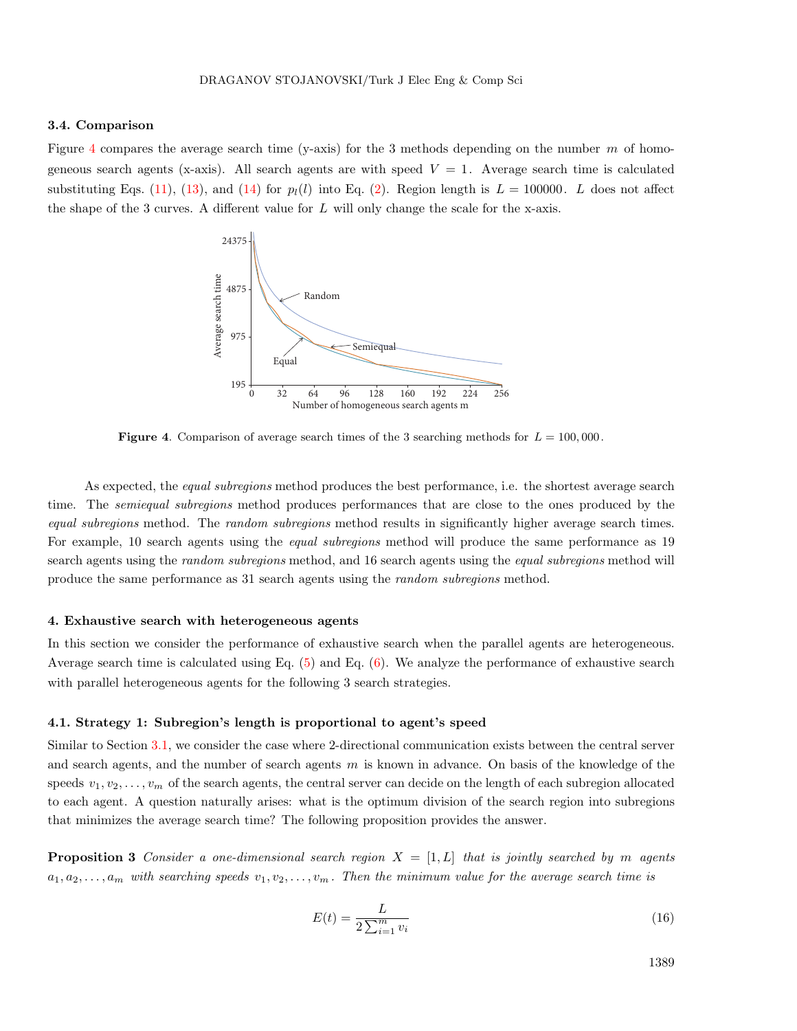## **3.4. Comparison**

Figure [4](#page-7-2) compares the average search time (y-axis) for the 3 methods depending on the number *m* of homogeneous search agents (x-axis). All search agents are with speed  $V = 1$ . Average search time is calculated substituting Eqs. ([11\)](#page-4-3), ([13\)](#page-5-0), and ([14\)](#page-5-1) for  $p_l(l)$  into Eq. ([2\)](#page-3-3). Region length is  $L = 100000$ . *L* does not affect the shape of the 3 curves. A different value for *L* will only change the scale for the x-axis.



<span id="page-7-2"></span>**Figure 4**. Comparison of average search times of the 3 searching methods for *L* = 100*,* 000.

As expected, the *equal subregions* method produces the best performance, i.e. the shortest average search time. The *semiequal subregions* method produces performances that are close to the ones produced by the *equal subregions* method. The *random subregions* method results in significantly higher average search times. For example, 10 search agents using the *equal subregions* method will produce the same performance as 19 search agents using the *random subregions* method, and 16 search agents using the *equal subregions* method will produce the same performance as 31 search agents using the *random subregions* method.

#### <span id="page-7-0"></span>**4. Exhaustive search with heterogeneous agents**

In this section we consider the performance of exhaustive search when the parallel agents are heterogeneous. Average search time is calculated using Eq. ([5\)](#page-3-4) and Eq. [\(6](#page-3-5)). We analyze the performance of exhaustive search with parallel heterogeneous agents for the following 3 search strategies.

## **4.1. Strategy 1: Subregion's length is proportional to agent's speed**

Similar to Section [3.1](#page-4-5), we consider the case where 2-directional communication exists between the central server and search agents, and the number of search agents *m* is known in advance. On basis of the knowledge of the speeds  $v_1, v_2, \ldots, v_m$  of the search agents, the central server can decide on the length of each subregion allocated to each agent. A question naturally arises: what is the optimum division of the search region into subregions that minimizes the average search time? The following proposition provides the answer.

<span id="page-7-1"></span>**Proposition 3** *Consider a one-dimensional search region X* = [1*, L*] *that is jointly searched by m agents*  $a_1, a_2, \ldots, a_m$  *with searching speeds*  $v_1, v_2, \ldots, v_m$ . Then the minimum value for the average search time is

<span id="page-7-3"></span>
$$
E(t) = \frac{L}{2\sum_{i=1}^{m} v_i}
$$
\n(16)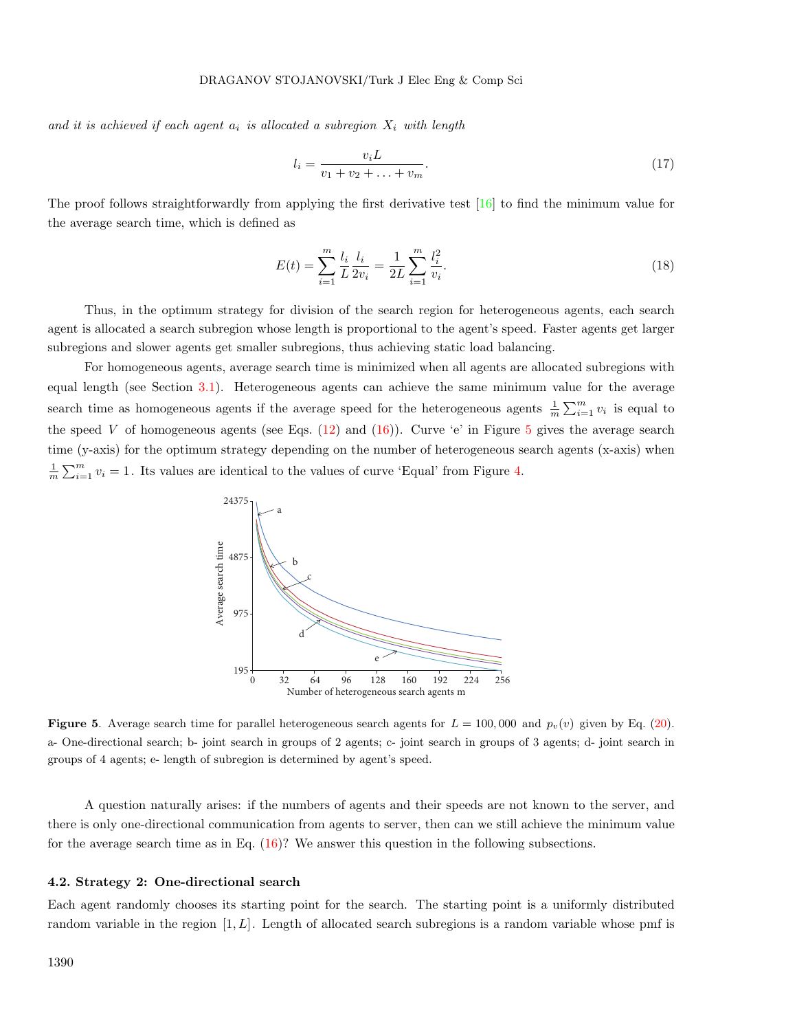and it is achieved if each agent  $a_i$  is allocated a subregion  $X_i$  with length

$$
l_i = \frac{v_i L}{v_1 + v_2 + \ldots + v_m}.
$$
\n(17)

The proof follows straightforwardly from applying the first derivative test [[16](#page-12-8)] to find the minimum value for the average search time, which is defined as

$$
E(t) = \sum_{i=1}^{m} \frac{l_i}{L} \frac{l_i}{2v_i} = \frac{1}{2L} \sum_{i=1}^{m} \frac{l_i^2}{v_i}.
$$
\n(18)

Thus, in the optimum strategy for division of the search region for heterogeneous agents, each search agent is allocated a search subregion whose length is proportional to the agent's speed. Faster agents get larger subregions and slower agents get smaller subregions, thus achieving static load balancing.

For homogeneous agents, average search time is minimized when all agents are allocated subregions with equal length (see Section [3.1](#page-4-5)). Heterogeneous agents can achieve the same minimum value for the average search time as homogeneous agents if the average speed for the heterogeneous agents  $\frac{1}{m} \sum_{i=1}^{m} v_i$  is equal to the speed *V* of homogeneous agents (see Eqs.  $(12)$  $(12)$  and  $(16)$  $(16)$ ). Curve 'e' in Figure [5](#page-8-0) gives the average search time (y-axis) for the optimum strategy depending on the number of heterogeneous search agents (x-axis) when  $\frac{1}{m}\sum_{i=1}^{m}v_i=1$ . Its values are identical to the values of curve 'Equal' from Figure [4](#page-7-2).



<span id="page-8-0"></span>**Figure 5**. Average search time for parallel heterogeneous search agents for  $L = 100,000$  and  $p_v(v)$  given by Eq. [\(20](#page-9-0)). a- One-directional search; b- joint search in groups of 2 agents; c- joint search in groups of 3 agents; d- joint search in groups of 4 agents; e- length of subregion is determined by agent's speed.

A question naturally arises: if the numbers of agents and their speeds are not known to the server, and there is only one-directional communication from agents to server, then can we still achieve the minimum value for the average search time as in Eq.  $(16)$  $(16)$ ? We answer this question in the following subsections.

#### **4.2. Strategy 2: One-directional search**

Each agent randomly chooses its starting point for the search. The starting point is a uniformly distributed random variable in the region [1*, L*]. Length of allocated search subregions is a random variable whose pmf is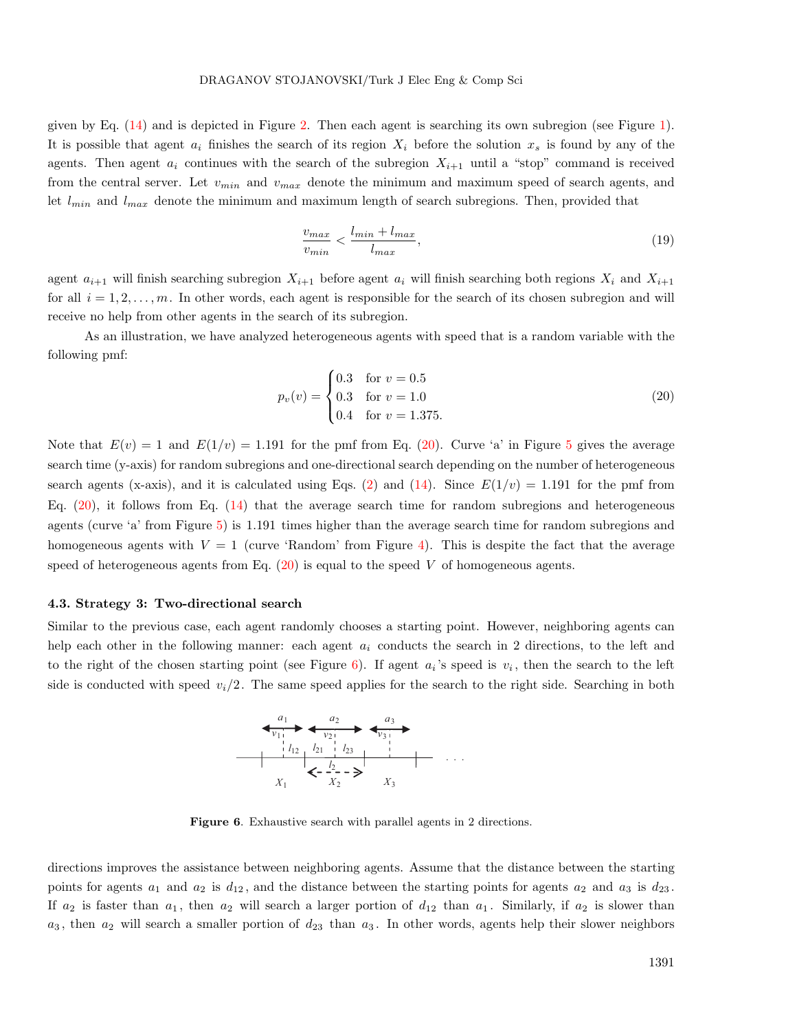given by Eq.  $(14)$  $(14)$  and is depicted in Figure [2.](#page-6-0) Then each agent is searching its own subregion (see Figure [1\)](#page-2-1). It is possible that agent  $a_i$  finishes the search of its region  $X_i$  before the solution  $x_s$  is found by any of the agents. Then agent  $a_i$  continues with the search of the subregion  $X_{i+1}$  until a "stop" command is received from the central server. Let *vmin* and *vmax* denote the minimum and maximum speed of search agents, and let *lmin* and *lmax* denote the minimum and maximum length of search subregions. Then, provided that

$$
\frac{v_{max}}{v_{min}} < \frac{l_{min} + l_{max}}{l_{max}},\tag{19}
$$

agent  $a_{i+1}$  will finish searching subregion  $X_{i+1}$  before agent  $a_i$  will finish searching both regions  $X_i$  and  $X_{i+1}$ for all  $i = 1, 2, \ldots, m$ . In other words, each agent is responsible for the search of its chosen subregion and will receive no help from other agents in the search of its subregion.

<span id="page-9-0"></span>As an illustration, we have analyzed heterogeneous agents with speed that is a random variable with the following pmf:

$$
p_v(v) = \begin{cases} 0.3 & \text{for } v = 0.5\\ 0.3 & \text{for } v = 1.0\\ 0.4 & \text{for } v = 1.375. \end{cases}
$$
 (20)

Note that  $E(v) = 1$  and  $E(1/v) = 1.191$  for the pmf from Eq. [\(20](#page-9-0)). Curve 'a' in Figure [5](#page-8-0) gives the average search time (y-axis) for random subregions and one-directional search depending on the number of heterogeneous search agents (x-axis), and it is calculated using Eqs. ([2\)](#page-3-3) and ([14\)](#page-5-1). Since  $E(1/v) = 1.191$  for the pmf from Eq. [\(20](#page-9-0)), it follows from Eq. ([14\)](#page-5-1) that the average search time for random subregions and heterogeneous agents (curve 'a' from Figure [5](#page-8-0)) is 1*.*191 times higher than the average search time for random subregions and homogeneous agents with  $V = 1$  (curve 'Random' from Figure [4](#page-7-2)). This is despite the fact that the average speed of heterogeneous agents from Eq. ([20\)](#page-9-0) is equal to the speed *V* of homogeneous agents.

#### <span id="page-9-2"></span>**4.3. Strategy 3: Two-directional search**

Similar to the previous case, each agent randomly chooses a starting point. However, neighboring agents can help each other in the following manner: each agent  $a_i$  conducts the search in 2 directions, to the left and to the right of the chosen starting point (see Figure [6](#page-9-1)). If agent  $a_i$ 's speed is  $v_i$ , then the search to the left side is conducted with speed *vi/*2. The same speed applies for the search to the right side. Searching in both



<span id="page-9-1"></span>**Figure 6**. Exhaustive search with parallel agents in 2 directions.

directions improves the assistance between neighboring agents. Assume that the distance between the starting points for agents  $a_1$  and  $a_2$  is  $d_{12}$ , and the distance between the starting points for agents  $a_2$  and  $a_3$  is  $d_{23}$ . If  $a_2$  is faster than  $a_1$ , then  $a_2$  will search a larger portion of  $d_{12}$  than  $a_1$ . Similarly, if  $a_2$  is slower than *a*<sup>3</sup> , then *a*<sup>2</sup> will search a smaller portion of *d*<sup>23</sup> than *a*<sup>3</sup> . In other words, agents help their slower neighbors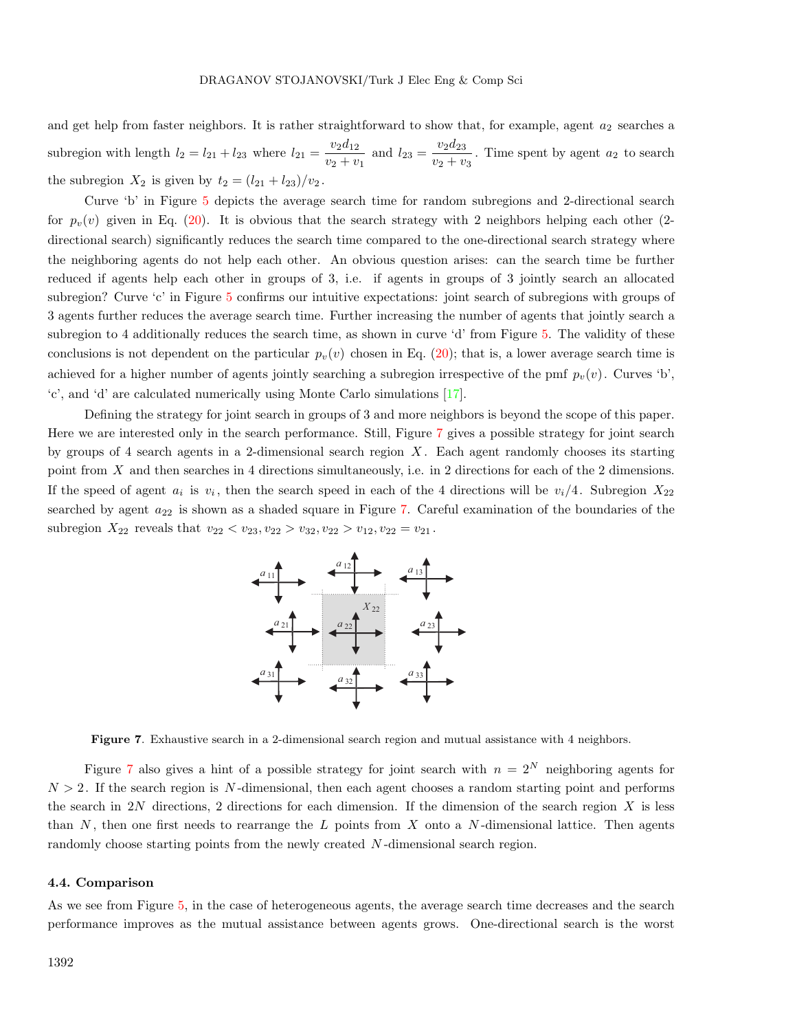and get help from faster neighbors. It is rather straightforward to show that, for example, agent  $a_2$  searches a subregion with length  $l_2 = l_{21} + l_{23}$  where  $l_{21} = \frac{v_2 d_{12}}{v_1 + v_2}$  $\frac{v_2 d_{12}}{v_2 + v_1}$  and  $l_{23} = \frac{v_2 d_{23}}{v_2 + v_2}$  $\frac{v_2 \omega_{23}}{v_2 + v_3}$ . Time spent by agent *a*<sub>2</sub> to search the subregion  $X_2$  is given by  $t_2 = (l_{21} + l_{23})/v_2$ .

Curve 'b' in Figure [5](#page-8-0) depicts the average search time for random subregions and 2-directional search for  $p_v(v)$  given in Eq. ([20\)](#page-9-0). It is obvious that the search strategy with 2 neighbors helping each other (2directional search) significantly reduces the search time compared to the one-directional search strategy where the neighboring agents do not help each other. An obvious question arises: can the search time be further reduced if agents help each other in groups of 3, i.e. if agents in groups of 3 jointly search an allocated subregion? Curve 'c' in Figure [5](#page-8-0) confirms our intuitive expectations: joint search of subregions with groups of 3 agents further reduces the average search time. Further increasing the number of agents that jointly search a subregion to 4 additionally reduces the search time, as shown in curve 'd' from Figure [5](#page-8-0). The validity of these conclusions is not dependent on the particular  $p_v(v)$  chosen in Eq. ([20\)](#page-9-0); that is, a lower average search time is achieved for a higher number of agents jointly searching a subregion irrespective of the pmf  $p_v(v)$ . Curves 'b', 'c', and 'd' are calculated numerically using Monte Carlo simulations [[17](#page-12-9)].

Defining the strategy for joint search in groups of 3 and more neighbors is beyond the scope of this paper. Here we are interested only in the search performance. Still, Figure [7](#page-10-0) gives a possible strategy for joint search by groups of 4 search agents in a 2-dimensional search region *X* . Each agent randomly chooses its starting point from *X* and then searches in 4 directions simultaneously, i.e. in 2 directions for each of the 2 dimensions. If the speed of agent  $a_i$  is  $v_i$ , then the search speed in each of the 4 directions will be  $v_i/4$ . Subregion  $X_{22}$ searched by agent  $a_{22}$  is shown as a shaded square in Figure [7.](#page-10-0) Careful examination of the boundaries of the subregion  $X_{22}$  reveals that  $v_{22} < v_{23}, v_{22} > v_{32}, v_{22} > v_{12}, v_{22} = v_{21}$ .



<span id="page-10-0"></span>**Figure 7**. Exhaustive search in a 2-dimensional search region and mutual assistance with 4 neighbors.

Figure [7](#page-10-0) also gives a hint of a possible strategy for joint search with  $n = 2^N$  neighboring agents for *N >* 2. If the search region is *N* -dimensional, then each agent chooses a random starting point and performs the search in 2*N* directions, 2 directions for each dimension. If the dimension of the search region *X* is less than *N* , then one first needs to rearrange the *L* points from *X* onto a *N* -dimensional lattice. Then agents randomly choose starting points from the newly created *N* -dimensional search region.

#### **4.4. Comparison**

As we see from Figure [5,](#page-8-0) in the case of heterogeneous agents, the average search time decreases and the search performance improves as the mutual assistance between agents grows. One-directional search is the worst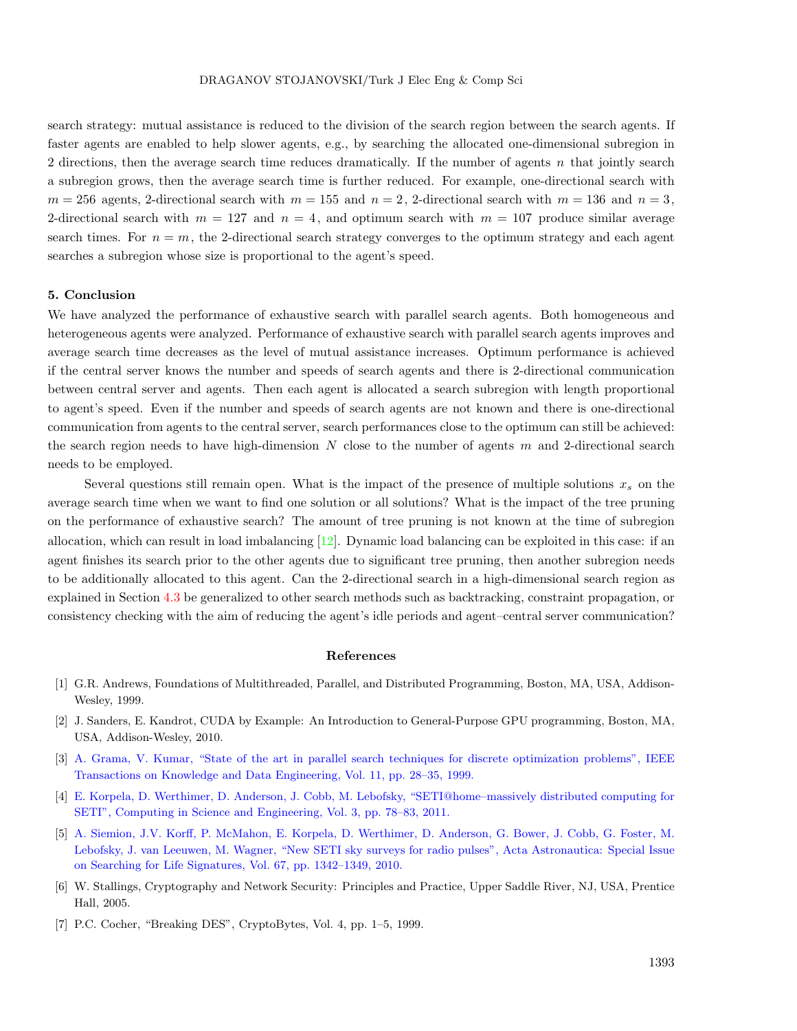#### DRAGANOV STOJANOVSKI/Turk J Elec Eng & Comp Sci

search strategy: mutual assistance is reduced to the division of the search region between the search agents. If faster agents are enabled to help slower agents, e.g., by searching the allocated one-dimensional subregion in 2 directions, then the average search time reduces dramatically. If the number of agents *n* that jointly search a subregion grows, then the average search time is further reduced. For example, one-directional search with  $m = 256$  agents, 2-directional search with  $m = 155$  and  $n = 2$ , 2-directional search with  $m = 136$  and  $n = 3$ , 2-directional search with  $m = 127$  and  $n = 4$ , and optimum search with  $m = 107$  produce similar average search times. For  $n = m$ , the 2-directional search strategy converges to the optimum strategy and each agent searches a subregion whose size is proportional to the agent's speed.

## <span id="page-11-7"></span>**5. Conclusion**

We have analyzed the performance of exhaustive search with parallel search agents. Both homogeneous and heterogeneous agents were analyzed. Performance of exhaustive search with parallel search agents improves and average search time decreases as the level of mutual assistance increases. Optimum performance is achieved if the central server knows the number and speeds of search agents and there is 2-directional communication between central server and agents. Then each agent is allocated a search subregion with length proportional to agent's speed. Even if the number and speeds of search agents are not known and there is one-directional communication from agents to the central server, search performances close to the optimum can still be achieved: the search region needs to have high-dimension *N* close to the number of agents *m* and 2-directional search needs to be employed.

Several questions still remain open. What is the impact of the presence of multiple solutions *x<sup>s</sup>* on the average search time when we want to find one solution or all solutions? What is the impact of the tree pruning on the performance of exhaustive search? The amount of tree pruning is not known at the time of subregion allocation, which can result in load imbalancing  $[12]$  $[12]$ . Dynamic load balancing can be exploited in this case: if an agent finishes its search prior to the other agents due to significant tree pruning, then another subregion needs to be additionally allocated to this agent. Can the 2-directional search in a high-dimensional search region as explained in Section [4.3](#page-9-2) be generalized to other search methods such as backtracking, constraint propagation, or consistency checking with the aim of reducing the agent's idle periods and agent–central server communication?

#### **References**

- <span id="page-11-0"></span>[1] G.R. Andrews, Foundations of Multithreaded, Parallel, and Distributed Programming, Boston, MA, USA, Addison-Wesley, 1999.
- <span id="page-11-1"></span>[2] J. Sanders, E. Kandrot, CUDA by Example: An Introduction to General-Purpose GPU programming, Boston, MA, USA, Addison-Wesley, 2010.
- <span id="page-11-2"></span>[3] [A. Grama, V. Kumar, "State of the art in parallel search techniques for discrete optimization problems", IEEE](http://dx.doi.org/10.1109/69.755612) [Transactions on Knowledge and Data Engineering, Vol. 11, pp. 28–35, 1999.](http://dx.doi.org/10.1109/69.755612)
- <span id="page-11-3"></span>[4] [E. Korpela, D. Werthimer, D. Anderson, J. Cobb, M. Lebofsky, "SETI@home–massively distributed computing for](http://dx.doi.org/10.1109/5992.895191) [SETI", Computing in Science and Engineering, Vol. 3, pp. 78–83, 2011.](http://dx.doi.org/10.1109/5992.895191)
- <span id="page-11-4"></span>[5] [A. Siemion, J.V. Korff, P. McMahon, E. Korpela, D. Werthimer, D. Anderson, G. Bower, J. Cobb, G. Foster, M.](http://dx.doi.org/10.1016/j.actaastro.2010.01.016) [Lebofsky, J. van Leeuwen, M. Wagner, "New SETI sky surveys for radio pulses", Acta Astronautica: Special Issue](http://dx.doi.org/10.1016/j.actaastro.2010.01.016) [on Searching for Life Signatures, Vol. 67, pp. 1342–1349, 2010.](http://dx.doi.org/10.1016/j.actaastro.2010.01.016)
- <span id="page-11-5"></span>[6] W. Stallings, Cryptography and Network Security: Principles and Practice, Upper Saddle River, NJ, USA, Prentice Hall, 2005.
- <span id="page-11-6"></span>[7] P.C. Cocher, "Breaking DES", CryptoBytes, Vol. 4, pp. 1–5, 1999.